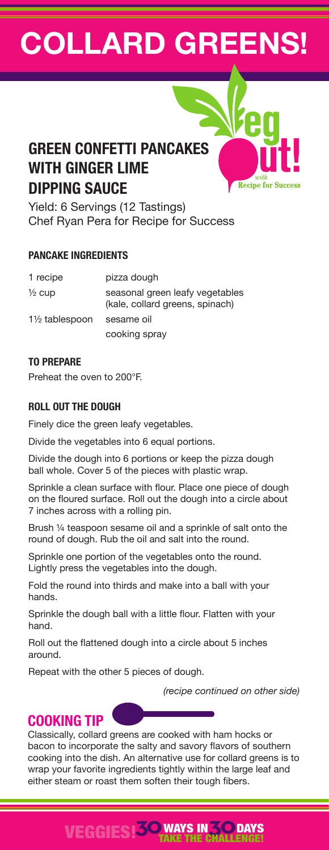# **COLLARD GREENS!**

**Recipe for Succes** 

## **GREEN CONFETTI PANCAKES WITH GINGER LIME DIPPING SAUCE**

Yield: 6 Servings (12 Tastings) Chef Ryan Pera for Recipe for Success

## **PANCAKE INGREDIENTS**

| 1 recipe          | pizza dough                                                        |
|-------------------|--------------------------------------------------------------------|
| $\frac{1}{2}$ cup | seasonal green leafy vegetables<br>(kale, collard greens, spinach) |
| 1½ tablespoon     | sesame oil                                                         |
|                   | cooking spray                                                      |

## **TO PREPARE**

Preheat the oven to 200°F.

## **ROLL OUT THE DOUGH**

Finely dice the green leafy vegetables.

Divide the vegetables into 6 equal portions.

Divide the dough into 6 portions or keep the pizza dough ball whole. Cover 5 of the pieces with plastic wrap.

Sprinkle a clean surface with flour. Place one piece of dough on the floured surface. Roll out the dough into a circle about 7 inches across with a rolling pin.

Brush ¼ teaspoon sesame oil and a sprinkle of salt onto the round of dough. Rub the oil and salt into the round.

Sprinkle one portion of the vegetables onto the round. Lightly press the vegetables into the dough.

Fold the round into thirds and make into a ball with your hands.

Sprinkle the dough ball with a little flour. Flatten with your hand.

Roll out the flattened dough into a circle about 5 inches around.

Repeat with the other 5 pieces of dough.

*(recipe continued on other side)*

## **COOKING TIP**

Classically, collard greens are cooked with ham hocks or bacon to incorporate the salty and savory flavors of southern cooking into the dish. An alternative use for collard greens is to wrap your favorite ingredients tightly within the large leaf and either steam or roast them soften their tough fibers.